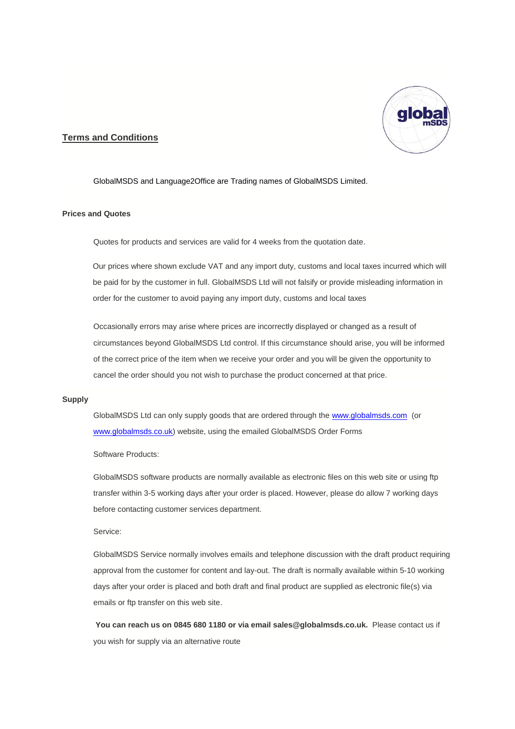

# **Terms and Conditions**

GlobalMSDS and Language2Office are Trading names of GlobalMSDS Limited.

# **Prices and Quotes**

Quotes for products and services are valid for 4 weeks from the quotation date.

Our prices where shown exclude VAT and any import duty, customs and local taxes incurred which will be paid for by the customer in full. GlobalMSDS Ltd will not falsify or provide misleading information in order for the customer to avoid paying any import duty, customs and local taxes

Occasionally errors may arise where prices are incorrectly displayed or changed as a result of circumstances beyond GlobalMSDS Ltd control. If this circumstance should arise, you will be informed of the correct price of the item when we receive your order and you will be given the opportunity to cancel the order should you not wish to purchase the product concerned at that price.

## **Supply**

GlobalMSDS Ltd can only supply goods that are ordered through th[e www.globalmsds.com](http://www.globalmsds.com/) (or [www.globalmsds.co.uk\)](http://www.globalmsds.co.uk/) website, using the emailed GlobalMSDS Order Forms

Software Products:

GlobalMSDS software products are normally available as electronic files on this web site or using ftp transfer within 3-5 working days after your order is placed. However, please do allow 7 working days before contacting customer services department.

# Service:

GlobalMSDS Service normally involves emails and telephone discussion with the draft product requiring approval from the customer for content and lay-out. The draft is normally available within 5-10 working days after your order is placed and both draft and final product are supplied as electronic file(s) via emails or ftp transfer on this web site.

**You can reach us on 0845 680 1180 or via email sales@globalmsds.co.uk.** Please contact us if you wish for supply via an alternative route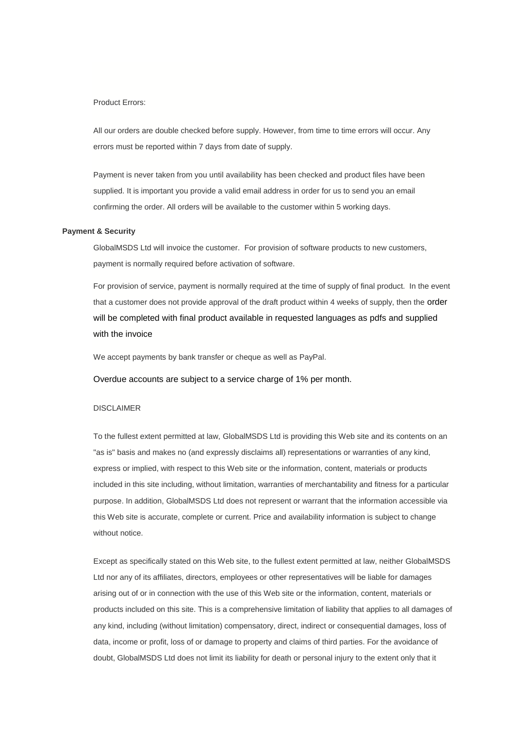## Product Errors:

All our orders are double checked before supply. However, from time to time errors will occur. Any errors must be reported within 7 days from date of supply.

Payment is never taken from you until availability has been checked and product files have been supplied. It is important you provide a valid email address in order for us to send you an email confirming the order. All orders will be available to the customer within 5 working days.

### **Payment & Security**

GlobalMSDS Ltd will invoice the customer. For provision of software products to new customers, payment is normally required before activation of software.

For provision of service, payment is normally required at the time of supply of final product. In the event that a customer does not provide approval of the draft product within 4 weeks of supply, then the order will be completed with final product available in requested languages as pdfs and supplied with the invoice

We accept payments by bank transfer or cheque as well as PayPal.

Overdue accounts are subject to a service charge of 1% per month.

#### DISCLAIMER

To the fullest extent permitted at law, GlobalMSDS Ltd is providing this Web site and its contents on an "as is" basis and makes no (and expressly disclaims all) representations or warranties of any kind, express or implied, with respect to this Web site or the information, content, materials or products included in this site including, without limitation, warranties of merchantability and fitness for a particular purpose. In addition, GlobalMSDS Ltd does not represent or warrant that the information accessible via this Web site is accurate, complete or current. Price and availability information is subject to change without notice.

Except as specifically stated on this Web site, to the fullest extent permitted at law, neither GlobalMSDS Ltd nor any of its affiliates, directors, employees or other representatives will be liable for damages arising out of or in connection with the use of this Web site or the information, content, materials or products included on this site. This is a comprehensive limitation of liability that applies to all damages of any kind, including (without limitation) compensatory, direct, indirect or consequential damages, loss of data, income or profit, loss of or damage to property and claims of third parties. For the avoidance of doubt, GlobalMSDS Ltd does not limit its liability for death or personal injury to the extent only that it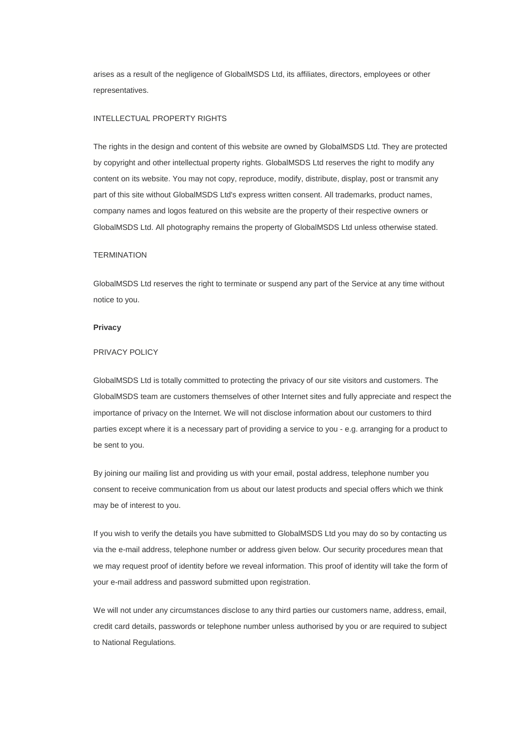arises as a result of the negligence of GlobalMSDS Ltd, its affiliates, directors, employees or other representatives.

### INTELLECTUAL PROPERTY RIGHTS

The rights in the design and content of this website are owned by GlobalMSDS Ltd. They are protected by copyright and other intellectual property rights. GlobalMSDS Ltd reserves the right to modify any content on its website. You may not copy, reproduce, modify, distribute, display, post or transmit any part of this site without GlobalMSDS Ltd's express written consent. All trademarks, product names, company names and logos featured on this website are the property of their respective owners or GlobalMSDS Ltd. All photography remains the property of GlobalMSDS Ltd unless otherwise stated.

### **TERMINATION**

GlobalMSDS Ltd reserves the right to terminate or suspend any part of the Service at any time without notice to you.

### **Privacy**

### PRIVACY POLICY

GlobalMSDS Ltd is totally committed to protecting the privacy of our site visitors and customers. The GlobalMSDS team are customers themselves of other Internet sites and fully appreciate and respect the importance of privacy on the Internet. We will not disclose information about our customers to third parties except where it is a necessary part of providing a service to you - e.g. arranging for a product to be sent to you.

By joining our mailing list and providing us with your email, postal address, telephone number you consent to receive communication from us about our latest products and special offers which we think may be of interest to you.

If you wish to verify the details you have submitted to GlobalMSDS Ltd you may do so by contacting us via the e-mail address, telephone number or address given below. Our security procedures mean that we may request proof of identity before we reveal information. This proof of identity will take the form of your e-mail address and password submitted upon registration.

We will not under any circumstances disclose to any third parties our customers name, address, email, credit card details, passwords or telephone number unless authorised by you or are required to subject to National Regulations.